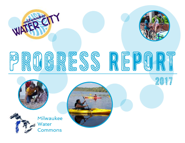



# progress R

2017

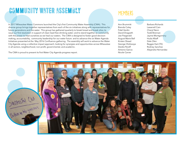### community water assembly Members

In 2017 Milwaukee Water Commons launched the City's first Community Water Assembly (CWA). This diverse group brings together representatives from each of the six initiatives along with representatives for future generations and the water. This group has gathered quarterly to break bread and break silos; to issue our first resolution in support of clean lead-free drinking water; and to stand together as community with the power to heal ourselves as we heal our waters. The CWA is designed to foster good decision making, accountability, community leadership for our water future and to advance the six Water Agenda Initiatives presented at the May 2016 Confluence gathering. The assembly will work to advance the Water City Agenda using a collective impact approach, looking for synergies and opportunities across Milwaukee in all sectors, neighborhood, non-profit, governmental, and academic.

The CWA is proud to present its first Water City Agenda progress report.

Ann Brummitt Brenda Coley Fidel Verdin David Dragseth Joe Fitzgerald August Marie Ball Kirsten Shead George Olufosoye Deidre Peroff Antonio Garcia Nicole Carver

Barbara Richards Lawarrell Cain Cheryl Nenn Todd Brennan Jayme Montgomery Huda Alkaff Dale Olen Reggie Hart (TK) Rodney Sanchez Alejandra Hernandez

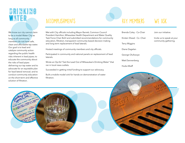### DRINKING WATER ACCOMPLISHMENTS KEY MEMBERS WE ASK

We know our city cannot claim to be a model Water City as long as all community members do not have safe, clean and affordable tap water. Our goal is to lead and catalyze community action regarding the public health risks inherent in lead pipes; to educate the community about the risks of lead pipes delivering our tap water and to advocate for an equitable plan for lead lateral removal; and to conduct community education on the short-term and effective solution of filtration.



Met with City officials including Mayor Barrett, Common Council President Hamilton, Milwaukee Health Department and Water Quality Task Force Chair Bohl and submitted recommendations for community education, filtration, transparent community-based decision making and long term replacement of lead laterals.

Hosted meetings of community members and city officials.

Participated in community and national panels on replacement of lead laterals.

Wrote an Op-Ed "Get the Lead Out of Milwaukee's Drinking Water" that ran in local news outlets.

Succeeded in getting initial funding to support our advocacy.

Built a mobile model sink for hands-on demonstration of water filtration.



Kirsten Shead - Co -Chair

Terry Wiggins

Diane Dagelen

George Olufosoye

Matt Dannenberg

Huda Alkaff

Join our initiative.

Invite us to speak at your community gathering.



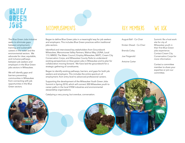### blue/ green<br>Joas jobs Accomplishments KEY Members We Ask

The Blue Green Jobs Initiative seeks to eliminate gaps between employment, training, and sustainable careers in the water and the environmental sectors. We advocate for clear, equitable, and inclusive pathways between job seekers and employers in the Blue Green jobs sectors in Milwaukee.

We will identify gaps and barriers preventing communities in Milwaukee from connecting with job opportunities in the Blue Green sectors.

Began to define Blue Green jobs in a meaningful way for job seekers and employers. This includes Blue Green practices within traditional jobs sectors.

Identified and interviewed key stakeholders from Groundwork Milwaukee, Menomonee Valley Partners, Walnut Way, LIUNA, Local 113, MMSD, The Water Council, Employ Milwaukee, MATC, Cream City Conservation Corps, and Milwaukee County Parks to understand existing perspectives on blue green jobs in Milwaukee and to plan for collaboration moving forward. We have laid the groundwork for a strategic gathering of constituents.

Began to identify existing pathways, barriers, and gaps for both job seekers and employers. This includes the entire spectrum of employment, from entry level to advanced professional careers.

Supporting the development of the Milwaukee Youth Green Jobs Summit in Spring 2018, which will connect 300 Milwaukee youth to career paths in the local STEM industries and environmental stewardship organizations.

Catalyzing a very young, but overdue, conversation.

August Ball - Co-Chair Kirsten Shead - Co-Chair

Brenda Coley

Joe Fitzgerald

Antoine Carter

Summit: Be a host work site for city of Milwaukee youth in their first Blue Green jobs experience. Contact Cream City Conservation Corps for more information.

Contact a committee member to share your expertise or join our committee.

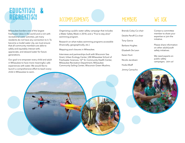### EDUCATION REGREATION ACCOMPLISHMENTS MEMBERS WE ASK

Milwaukee borders one of the largest freshwater lakes in the world and is rich with recreational water activities, yet many residents do not have any connection to it. To become a model water city, we must ensure that all community members are able to safely and equitably interact with, appreciate, and steward water for future generations.

Our goal is to empower every child and adult in Milwaukee to have more meaningful, safe experiences with water. We would like to launch a comprehensive effort to teach every child in Milwaukee to swim.

Organizing a public water safety campaign that includes a Water Safety Week in 2018, and a "Five to stay alive" swimming program.

Research on what makes swimming programs accessible (financially, geographically, etc.)

Mapping pool closures in Milwaukee.

Interviews and partnerships built with Wisconsin Sea Grant, Urban Ecology Center, UW-Milwaukee School of Freshwater Sciences, 16<sup>th</sup> St. Community Health Center, Milwaukee Recreation Department, Milwaukee Community Sailing Center, Wisconsin Green Muslims.

Brenda Coley-Co-chair

Deidre Peroff-Co-chair

Tony Garcia

Barbara Hughes

Elizabeth De Leon

Karen Hunt

Huda Alkaff

Nicole Jacobsen

Jimmy Camacho

Contact a committee member to share your expertise or join the initiative.

Please share information on other adult/youth safety initiatives.

We need experts on public safety campaigns. Join us!

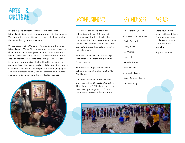

We are a group of creatives interested in connecting Milwaukee to its waters through our various artistic mediums. We support the other initiative areas and help them amplify their work through artistic channels.

We support our 2016 Water City Agenda goal of branding Milwaukee as a Water City and are also concerned about the dramatic erosion of water protections at the local, state, and national levels which impacts us all. While state and federal decision-making threatens to erode progress, there is still tremendous opportunity at the local level to reconnect our communities and our waters and to build a base of support for water care. The arts are a critical part of this effort, helping to explore our disconnections, heal our divisions, and educate and connect people in ways that words alone cannot.



### ACCOMPLISHMENTS KEY MEMBERS WE ASK

Held our 4th annual We Are Water celebration with over 350 people in attendance at Bradford Beach. The theme was The Great Lakes are our Home - and we welcomed all nationalities and groups to express their belonging in their native language.

Supported Jenny Plevin's partnership with American Rivers to make the film Alice's Garden.

Supported art projects at four Water School sites in partnership with the Mary Nohl Fund.

Created a network of artists to tackle water issues from Still Waters Collective, TRUE Skool, Doc/UWM, Red Crane Film, Overpass Light Brigade, MWC, One Drum Arts along with individual artists.

Fidel Verdin - Co-Chair Ann Brummitt - Co-Chair David Dragseth Jenny Plevin Laj Waghray Lane Hall Melanie Ariens Eddee Daniel Jahmes Finlayson Susan Simensky-Bietila, Saehee Chang

Share your artistic talents with us. Join us. Photographers, poets, spoken word, dance, radio, sculpture, digital…

Support the arts!

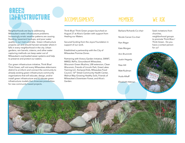### green INFRASTRUCTURE ACCOMPLISHMENTS MEMBERS WE ASK

Neighborhoods are key to addressing Milwaukee's water infrastructure problems. Increasingly erratic weather patterns are causing flooding, basement backups, and poor water quality in our rivers and lake. Green infrastructure projects can and should harvest rainwater where it falls in every neighborhood in the city. Urban gardens, rain barrels, cisterns, and other water capturing methods can keep water out of Milwaukee's overloaded sewer systems and help to preserve and protect our waters.

Our green infrastructure initiative, Think Blue/ Think Green, will visit every Milwaukee aldermanic district to a) inform and connect the community to already existing green infrastructure community organizations that will educate, design, and/or install green infrastructure and b) elevate green infrastructure models that showcase possibilities for new community-based projects.

Think Blue/ Think Green project launched on August 27 at Alice's Garden with support from Healing our Waters.

Secured funding from the Joyce Foundation in support of our work.

Established a partnership with the City of Milwaukee Promise Zones.

Partnering with Victory Garden Initiative, SWWT, MMSD, ReFlo, Groundwork Milwaukee, Wisconsin Green Muslims, UW-extension, Clean Wisconsin, Friends of Lincoln Park, Great Lakes Training LLC, Kompost Kids, Milwaukee Food Council, 16th Street Community Health Center, Walnut Way-Growing Healthy Soils, Friends of Milwaukee's Downtown Forest, and Alice's Garden.

Barbara Richards-Co-chair

Nicole Carver-Co-chair

Pam Ritger

Kate Morgan

Ann Brummitt

Justin Hegarty

Pete Hill Matt Rudman

Huda Alkaff

Elizabeth Hittman

Seek invitations from churches, neighborhood groups to promote Think Blue / Think Green. Do you have a contact person for us?